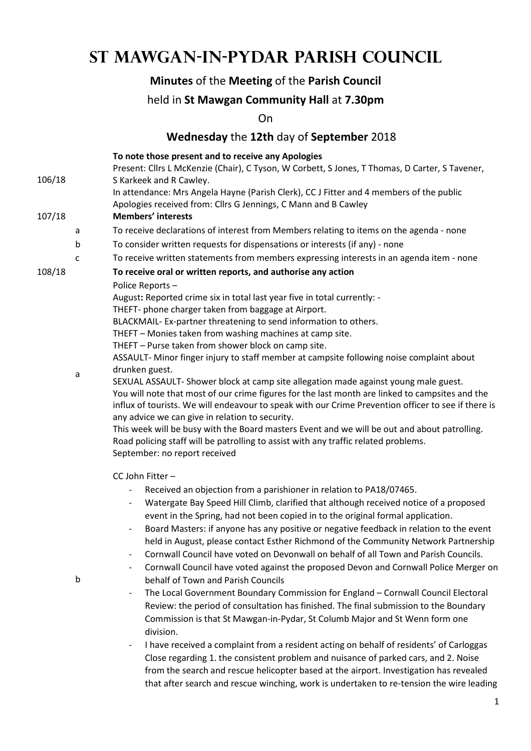# **St Mawgan-in-Pydar Parish Council**

## **Minutes** of the **Meeting** of the **Parish Council**

### held in **St Mawgan Community Hall** at **7.30pm**

On

### **Wednesday** the **12th** day of **September** 2018

|        |   | To note those present and to receive any Apologies                                                                                                                                                                                                                                                                                                                                                                                                                                                                                                                                                              |  |  |  |
|--------|---|-----------------------------------------------------------------------------------------------------------------------------------------------------------------------------------------------------------------------------------------------------------------------------------------------------------------------------------------------------------------------------------------------------------------------------------------------------------------------------------------------------------------------------------------------------------------------------------------------------------------|--|--|--|
|        |   | Present: Cllrs L McKenzie (Chair), C Tyson, W Corbett, S Jones, T Thomas, D Carter, S Tavener,                                                                                                                                                                                                                                                                                                                                                                                                                                                                                                                  |  |  |  |
| 106/18 |   | S Karkeek and R Cawley.                                                                                                                                                                                                                                                                                                                                                                                                                                                                                                                                                                                         |  |  |  |
|        |   | In attendance: Mrs Angela Hayne (Parish Clerk), CC J Fitter and 4 members of the public                                                                                                                                                                                                                                                                                                                                                                                                                                                                                                                         |  |  |  |
|        |   | Apologies received from: Cllrs G Jennings, C Mann and B Cawley                                                                                                                                                                                                                                                                                                                                                                                                                                                                                                                                                  |  |  |  |
| 107/18 |   | <b>Members' interests</b>                                                                                                                                                                                                                                                                                                                                                                                                                                                                                                                                                                                       |  |  |  |
|        | a | To receive declarations of interest from Members relating to items on the agenda - none                                                                                                                                                                                                                                                                                                                                                                                                                                                                                                                         |  |  |  |
|        | b | To consider written requests for dispensations or interests (if any) - none                                                                                                                                                                                                                                                                                                                                                                                                                                                                                                                                     |  |  |  |
|        | c | To receive written statements from members expressing interests in an agenda item - none                                                                                                                                                                                                                                                                                                                                                                                                                                                                                                                        |  |  |  |
| 108/18 |   | To receive oral or written reports, and authorise any action                                                                                                                                                                                                                                                                                                                                                                                                                                                                                                                                                    |  |  |  |
|        |   | Police Reports-                                                                                                                                                                                                                                                                                                                                                                                                                                                                                                                                                                                                 |  |  |  |
|        |   | August: Reported crime six in total last year five in total currently: -                                                                                                                                                                                                                                                                                                                                                                                                                                                                                                                                        |  |  |  |
|        |   | THEFT- phone charger taken from baggage at Airport.                                                                                                                                                                                                                                                                                                                                                                                                                                                                                                                                                             |  |  |  |
|        |   | BLACKMAIL- Ex-partner threatening to send information to others.                                                                                                                                                                                                                                                                                                                                                                                                                                                                                                                                                |  |  |  |
|        |   | THEFT - Monies taken from washing machines at camp site.                                                                                                                                                                                                                                                                                                                                                                                                                                                                                                                                                        |  |  |  |
|        |   | THEFT - Purse taken from shower block on camp site.                                                                                                                                                                                                                                                                                                                                                                                                                                                                                                                                                             |  |  |  |
|        |   | ASSAULT- Minor finger injury to staff member at campsite following noise complaint about<br>drunken guest.                                                                                                                                                                                                                                                                                                                                                                                                                                                                                                      |  |  |  |
|        | a | SEXUAL ASSAULT- Shower block at camp site allegation made against young male guest.<br>You will note that most of our crime figures for the last month are linked to campsites and the<br>influx of tourists. We will endeavour to speak with our Crime Prevention officer to see if there is<br>any advice we can give in relation to security.<br>This week will be busy with the Board masters Event and we will be out and about patrolling.<br>Road policing staff will be patrolling to assist with any traffic related problems.<br>September: no report received                                        |  |  |  |
|        |   | CC John Fitter-                                                                                                                                                                                                                                                                                                                                                                                                                                                                                                                                                                                                 |  |  |  |
|        |   | Received an objection from a parishioner in relation to PA18/07465.                                                                                                                                                                                                                                                                                                                                                                                                                                                                                                                                             |  |  |  |
|        | b | Watergate Bay Speed Hill Climb, clarified that although received notice of a proposed<br>event in the Spring, had not been copied in to the original formal application.<br>Board Masters: if anyone has any positive or negative feedback in relation to the event<br>$\qquad \qquad \blacksquare$<br>held in August, please contact Esther Richmond of the Community Network Partnership<br>Cornwall Council have voted on Devonwall on behalf of all Town and Parish Councils.<br>Cornwall Council have voted against the proposed Devon and Cornwall Police Merger on<br>behalf of Town and Parish Councils |  |  |  |
|        |   | The Local Government Boundary Commission for England - Cornwall Council Electoral                                                                                                                                                                                                                                                                                                                                                                                                                                                                                                                               |  |  |  |
|        |   | Review: the period of consultation has finished. The final submission to the Boundary                                                                                                                                                                                                                                                                                                                                                                                                                                                                                                                           |  |  |  |
|        |   | Commission is that St Mawgan-in-Pydar, St Columb Major and St Wenn form one<br>division.                                                                                                                                                                                                                                                                                                                                                                                                                                                                                                                        |  |  |  |
|        |   | I have received a complaint from a resident acting on behalf of residents' of Carloggas                                                                                                                                                                                                                                                                                                                                                                                                                                                                                                                         |  |  |  |
|        |   | Close regarding 1. the consistent problem and nuisance of parked cars, and 2. Noise                                                                                                                                                                                                                                                                                                                                                                                                                                                                                                                             |  |  |  |
|        |   |                                                                                                                                                                                                                                                                                                                                                                                                                                                                                                                                                                                                                 |  |  |  |

from the search and rescue helicopter based at the airport. Investigation has revealed that after search and rescue winching, work is undertaken to re-tension the wire leading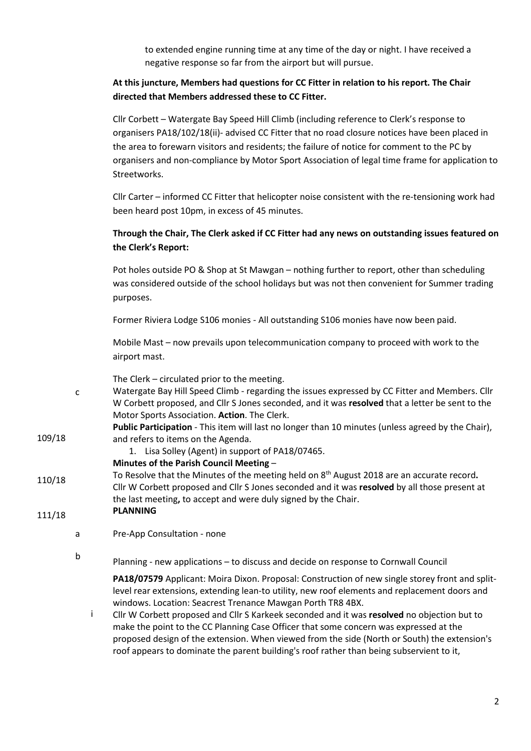to extended engine running time at any time of the day or night. I have received a negative response so far from the airport but will pursue.

#### **At this juncture, Members had questions for CC Fitter in relation to his report. The Chair directed that Members addressed these to CC Fitter.**

Cllr Corbett – Watergate Bay Speed Hill Climb (including reference to Clerk's response to organisers PA18/102/18(ii)- advised CC Fitter that no road closure notices have been placed in the area to forewarn visitors and residents; the failure of notice for comment to the PC by organisers and non-compliance by Motor Sport Association of legal time frame for application to Streetworks.

Cllr Carter – informed CC Fitter that helicopter noise consistent with the re-tensioning work had been heard post 10pm, in excess of 45 minutes.

#### **Through the Chair, The Clerk asked if CC Fitter had any news on outstanding issues featured on the Clerk's Report:**

Pot holes outside PO & Shop at St Mawgan – nothing further to report, other than scheduling was considered outside of the school holidays but was not then convenient for Summer trading purposes.

Former Riviera Lodge S106 monies - All outstanding S106 monies have now been paid.

Mobile Mast – now prevails upon telecommunication company to proceed with work to the airport mast.

The Clerk – circulated prior to the meeting.

c Watergate Bay Hill Speed Climb - regarding the issues expressed by CC Fitter and Members. Cllr W Corbett proposed, and Cllr S Jones seconded, and it was **resolved** that a letter be sent to the Motor Sports Association. **Action**. The Clerk.

**Public Participation** - This item will last no longer than 10 minutes (unless agreed by the Chair), and refers to items on the Agenda.

1. Lisa Solley (Agent) in support of PA18/07465.

#### **Minutes of the Parish Council Meeting** –

110/18 To Resolve that the Minutes of the meeting held on 8 th August 2018 are an accurate record**.**  Cllr W Corbett proposed and Cllr S Jones seconded and it was **resolved** by all those present at the last meeting**,** to accept and were duly signed by the Chair.

#### 111/18 **PLANNING**

- a Pre-App Consultation none
- b

109/18

Planning - new applications – to discuss and decide on response to Cornwall Council

**PA18/07579** Applicant: Moira Dixon. Proposal: Construction of new single storey front and splitlevel rear extensions, extending lean-to utility, new roof elements and replacement doors and windows. Location: Seacrest Trenance Mawgan Porth TR8 4BX.

i Cllr W Corbett proposed and Cllr S Karkeek seconded and it was **resolved** no objection but to make the point to the CC Planning Case Officer that some concern was expressed at the proposed design of the extension. When viewed from the side (North or South) the extension's roof appears to dominate the parent building's roof rather than being subservient to it,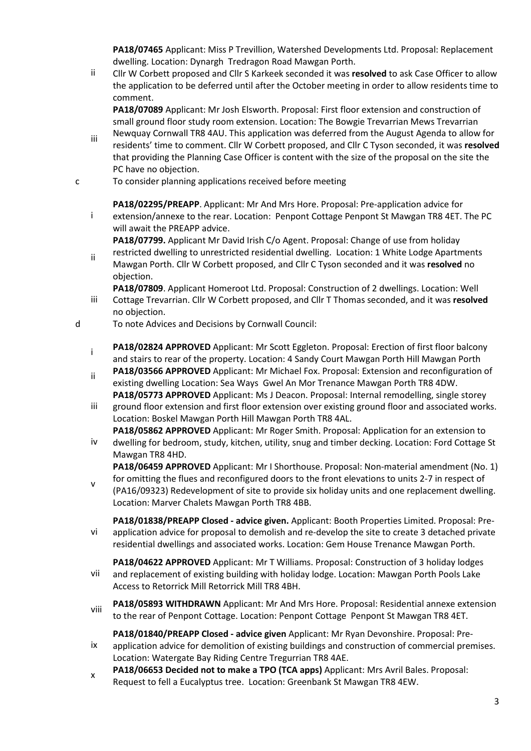**PA18/07465** Applicant: Miss P Trevillion, Watershed Developments Ltd. Proposal: Replacement dwelling. Location: Dynargh Tredragon Road Mawgan Porth.

ii Cllr W Corbett proposed and Cllr S Karkeek seconded it was **resolved** to ask Case Officer to allow the application to be deferred until after the October meeting in order to allow residents time to comment.

**PA18/07089** Applicant: Mr Josh Elsworth. Proposal: First floor extension and construction of small ground floor study room extension. Location: The Bowgie Trevarrian Mews Trevarrian

- iii Newquay Cornwall TR8 4AU. This application was deferred from the August Agenda to allow for residents' time to comment. Cllr W Corbett proposed, and Cllr C Tyson seconded, it was **resolved**  that providing the Planning Case Officer is content with the size of the proposal on the site the PC have no objection.
- c To consider planning applications received before meeting

**PA18/02295/PREAPP**. Applicant: Mr And Mrs Hore. Proposal: Pre-application advice for

i extension/annexe to the rear. Location: Penpont Cottage Penpont St Mawgan TR8 4ET. The PC will await the PREAPP advice.

**PA18/07799.** Applicant Mr David Irish C/o Agent. Proposal: Change of use from holiday restricted dwelling to unrestricted residential dwelling. Location: 1 White Lodge Apartments

ii Mawgan Porth. Cllr W Corbett proposed, and Cllr C Tyson seconded and it was **resolved** no objection.

iii **PA18/07809**. Applicant Homeroot Ltd. Proposal: Construction of 2 dwellings. Location: Well Cottage Trevarrian. Cllr W Corbett proposed, and Cllr T Thomas seconded, and it was **resolved**  no objection.

- d To note Advices and Decisions by Cornwall Council:
	- **PA18/02824 APPROVED** Applicant: Mr Scott Eggleton. Proposal: Erection of first floor balcony and stairs to rear of the property. Location: 4 Sandy Court Mawgan Porth Hill Mawgan Porth
	- ii **PA18/03566 APPROVED** Applicant: Mr Michael Fox. Proposal: Extension and reconfiguration of existing dwelling Location: Sea Ways Gwel An Mor Trenance Mawgan Porth TR8 4DW. **PA18/05773 APPROVED** Applicant: Ms J Deacon. Proposal: Internal remodelling, single storey
	- iii ground floor extension and first floor extension over existing ground floor and associated works. Location: Boskel Mawgan Porth Hill Mawgan Porth TR8 4AL.

**PA18/05862 APPROVED** Applicant: Mr Roger Smith. Proposal: Application for an extension to

iv dwelling for bedroom, study, kitchen, utility, snug and timber decking. Location: Ford Cottage St Mawgan TR8 4HD.

**PA18/06459 APPROVED** Applicant: Mr I Shorthouse. Proposal: Non-material amendment (No. 1) for omitting the flues and reconfigured doors to the front elevations to units 2-7 in respect of

v (PA16/09323) Redevelopment of site to provide six holiday units and one replacement dwelling. Location: Marver Chalets Mawgan Porth TR8 4BB.

vi **PA18/01838/PREAPP Closed - advice given.** Applicant: Booth Properties Limited. Proposal: Preapplication advice for proposal to demolish and re-develop the site to create 3 detached private residential dwellings and associated works. Location: Gem House Trenance Mawgan Porth.

vii **PA18/04622 APPROVED** Applicant: Mr T Williams. Proposal: Construction of 3 holiday lodges and replacement of existing building with holiday lodge. Location: Mawgan Porth Pools Lake Access to Retorrick Mill Retorrick Mill TR8 4BH.

viii **PA18/05893 WITHDRAWN** Applicant: Mr And Mrs Hore. Proposal: Residential annexe extension to the rear of Penpont Cottage. Location: Penpont Cottage Penpont St Mawgan TR8 4ET.

**PA18/01840/PREAPP Closed - advice given** Applicant: Mr Ryan Devonshire. Proposal: Pre-

- ix application advice for demolition of existing buildings and construction of commercial premises. Location: Watergate Bay Riding Centre Tregurrian TR8 4AE.
- x **PA18/06653 Decided not to make a TPO (TCA apps)** Applicant: Mrs Avril Bales. Proposal: Request to fell a Eucalyptus tree. Location: Greenbank St Mawgan TR8 4EW.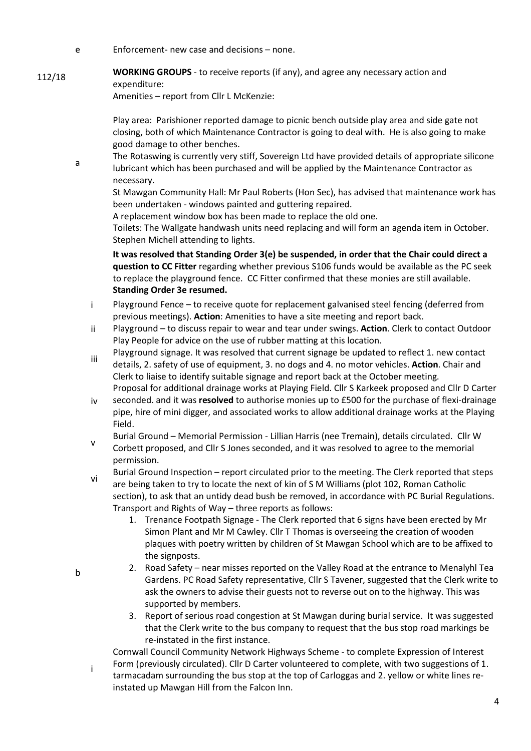- e Enforcement- new case and decisions none.
- **WORKING GROUPS** to receive reports (if any), and agree any necessary action and expenditure:

Amenities – report from Cllr L McKenzie:

Play area: Parishioner reported damage to picnic bench outside play area and side gate not closing, both of which Maintenance Contractor is going to deal with. He is also going to make good damage to other benches.

a The Rotaswing is currently very stiff, Sovereign Ltd have provided details of appropriate silicone lubricant which has been purchased and will be applied by the Maintenance Contractor as necessary.

St Mawgan Community Hall: Mr Paul Roberts (Hon Sec), has advised that maintenance work has been undertaken - windows painted and guttering repaired.

A replacement window box has been made to replace the old one.

Toilets: The Wallgate handwash units need replacing and will form an agenda item in October. Stephen Michell attending to lights.

**It was resolved that Standing Order 3(e) be suspended, in order that the Chair could direct a question to CC Fitter** regarding whether previous S106 funds would be available as the PC seek to replace the playground fence. CC Fitter confirmed that these monies are still available. **Standing Order 3e resumed.**

- i Playground Fence to receive quote for replacement galvanised steel fencing (deferred from previous meetings). **Action**: Amenities to have a site meeting and report back.
- ii Playground to discuss repair to wear and tear under swings. **Action**. Clerk to contact Outdoor Play People for advice on the use of rubber matting at this location.
- iii Playground signage. It was resolved that current signage be updated to reflect 1. new contact details, 2. safety of use of equipment, 3. no dogs and 4. no motor vehicles. **Action**. Chair and Clerk to liaise to identify suitable signage and report back at the October meeting.
- iv Proposal for additional drainage works at Playing Field. Cllr S Karkeek proposed and Cllr D Carter seconded. and it was **resolved** to authorise monies up to £500 for the purchase of flexi-drainage pipe, hire of mini digger, and associated works to allow additional drainage works at the Playing Field.
- v Burial Ground – Memorial Permission - Lillian Harris (nee Tremain), details circulated. Cllr W Corbett proposed, and Cllr S Jones seconded, and it was resolved to agree to the memorial permission.
- vi Burial Ground Inspection – report circulated prior to the meeting. The Clerk reported that steps are being taken to try to locate the next of kin of S M Williams (plot 102, Roman Catholic section), to ask that an untidy dead bush be removed, in accordance with PC Burial Regulations. Transport and Rights of Way – three reports as follows:
	- 1. Trenance Footpath Signage The Clerk reported that 6 signs have been erected by Mr Simon Plant and Mr M Cawley. Cllr T Thomas is overseeing the creation of wooden plaques with poetry written by children of St Mawgan School which are to be affixed to the signposts.
	- 2. Road Safety near misses reported on the Valley Road at the entrance to Menalyhl Tea Gardens. PC Road Safety representative, Cllr S Tavener, suggested that the Clerk write to ask the owners to advise their guests not to reverse out on to the highway. This was supported by members.
	- 3. Report of serious road congestion at St Mawgan during burial service. It was suggested that the Clerk write to the bus company to request that the bus stop road markings be re-instated in the first instance.

in a control i Cornwall Council Community Network Highways Scheme - to complete Expression of Interest Form (previously circulated). Cllr D Carter volunteered to complete, with two suggestions of 1. tarmacadam surrounding the bus stop at the top of Carloggas and 2. yellow or white lines reinstated up Mawgan Hill from the Falcon Inn.

b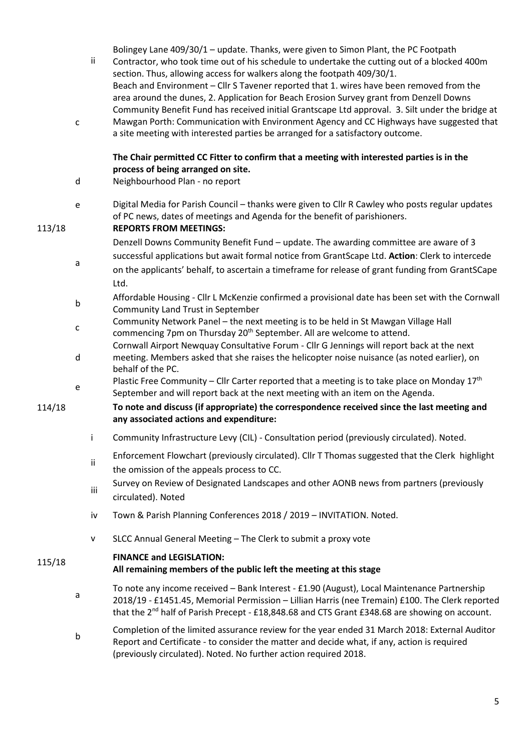|        | $\mathsf{C}$ | ij. | Bolingey Lane 409/30/1 - update. Thanks, were given to Simon Plant, the PC Footpath<br>Contractor, who took time out of his schedule to undertake the cutting out of a blocked 400m<br>section. Thus, allowing access for walkers along the footpath 409/30/1.<br>Beach and Environment - Cllr S Tavener reported that 1. wires have been removed from the<br>area around the dunes, 2. Application for Beach Erosion Survey grant from Denzell Downs<br>Community Benefit Fund has received initial Grantscape Ltd approval. 3. Silt under the bridge at<br>Mawgan Porth: Communication with Environment Agency and CC Highways have suggested that |
|--------|--------------|-----|------------------------------------------------------------------------------------------------------------------------------------------------------------------------------------------------------------------------------------------------------------------------------------------------------------------------------------------------------------------------------------------------------------------------------------------------------------------------------------------------------------------------------------------------------------------------------------------------------------------------------------------------------|
|        |              |     | a site meeting with interested parties be arranged for a satisfactory outcome.                                                                                                                                                                                                                                                                                                                                                                                                                                                                                                                                                                       |
|        | d            |     | The Chair permitted CC Fitter to confirm that a meeting with interested parties is in the<br>process of being arranged on site.<br>Neighbourhood Plan - no report                                                                                                                                                                                                                                                                                                                                                                                                                                                                                    |
|        |              |     |                                                                                                                                                                                                                                                                                                                                                                                                                                                                                                                                                                                                                                                      |
| 113/18 | e            |     | Digital Media for Parish Council - thanks were given to Cllr R Cawley who posts regular updates<br>of PC news, dates of meetings and Agenda for the benefit of parishioners.<br><b>REPORTS FROM MEETINGS:</b>                                                                                                                                                                                                                                                                                                                                                                                                                                        |
|        |              |     | Denzell Downs Community Benefit Fund - update. The awarding committee are aware of 3                                                                                                                                                                                                                                                                                                                                                                                                                                                                                                                                                                 |
|        |              |     | successful applications but await formal notice from GrantScape Ltd. Action: Clerk to intercede                                                                                                                                                                                                                                                                                                                                                                                                                                                                                                                                                      |
|        | a            |     | on the applicants' behalf, to ascertain a timeframe for release of grant funding from GrantSCape                                                                                                                                                                                                                                                                                                                                                                                                                                                                                                                                                     |
|        |              |     | Ltd.                                                                                                                                                                                                                                                                                                                                                                                                                                                                                                                                                                                                                                                 |
|        | b            |     | Affordable Housing - Cllr L McKenzie confirmed a provisional date has been set with the Cornwall<br>Community Land Trust in September                                                                                                                                                                                                                                                                                                                                                                                                                                                                                                                |
|        |              |     | Community Network Panel - the next meeting is to be held in St Mawgan Village Hall                                                                                                                                                                                                                                                                                                                                                                                                                                                                                                                                                                   |
|        | c            |     | commencing 7pm on Thursday 20 <sup>th</sup> September. All are welcome to attend.                                                                                                                                                                                                                                                                                                                                                                                                                                                                                                                                                                    |
|        | d            |     | Cornwall Airport Newquay Consultative Forum - Cllr G Jennings will report back at the next<br>meeting. Members asked that she raises the helicopter noise nuisance (as noted earlier), on<br>behalf of the PC.                                                                                                                                                                                                                                                                                                                                                                                                                                       |
|        | e            |     | Plastic Free Community – Cllr Carter reported that a meeting is to take place on Monday $17th$<br>September and will report back at the next meeting with an item on the Agenda.                                                                                                                                                                                                                                                                                                                                                                                                                                                                     |
| 114/18 |              |     | To note and discuss (if appropriate) the correspondence received since the last meeting and<br>any associated actions and expenditure:                                                                                                                                                                                                                                                                                                                                                                                                                                                                                                               |
|        |              | j.  | Community Infrastructure Levy (CIL) - Consultation period (previously circulated). Noted.                                                                                                                                                                                                                                                                                                                                                                                                                                                                                                                                                            |
|        |              | ii. | Enforcement Flowchart (previously circulated). Cllr T Thomas suggested that the Clerk highlight<br>the omission of the appeals process to CC.                                                                                                                                                                                                                                                                                                                                                                                                                                                                                                        |
|        |              | iii | Survey on Review of Designated Landscapes and other AONB news from partners (previously<br>circulated). Noted                                                                                                                                                                                                                                                                                                                                                                                                                                                                                                                                        |
|        |              | iv  | Town & Parish Planning Conferences 2018 / 2019 - INVITATION. Noted.                                                                                                                                                                                                                                                                                                                                                                                                                                                                                                                                                                                  |
|        |              | V   | SLCC Annual General Meeting - The Clerk to submit a proxy vote                                                                                                                                                                                                                                                                                                                                                                                                                                                                                                                                                                                       |
|        |              |     | <b>FINANCE and LEGISLATION:</b>                                                                                                                                                                                                                                                                                                                                                                                                                                                                                                                                                                                                                      |
| 115/18 |              |     | All remaining members of the public left the meeting at this stage                                                                                                                                                                                                                                                                                                                                                                                                                                                                                                                                                                                   |
|        | a            |     | To note any income received - Bank Interest - £1.90 (August), Local Maintenance Partnership<br>2018/19 - £1451.45, Memorial Permission - Lillian Harris (nee Tremain) £100. The Clerk reported<br>that the 2 <sup>nd</sup> half of Parish Precept - £18,848.68 and CTS Grant £348.68 are showing on account.                                                                                                                                                                                                                                                                                                                                         |
|        | b            |     | Completion of the limited assurance review for the year ended 31 March 2018: External Auditor<br>Report and Certificate - to consider the matter and decide what, if any, action is required<br>(previously circulated). Noted. No further action required 2018.                                                                                                                                                                                                                                                                                                                                                                                     |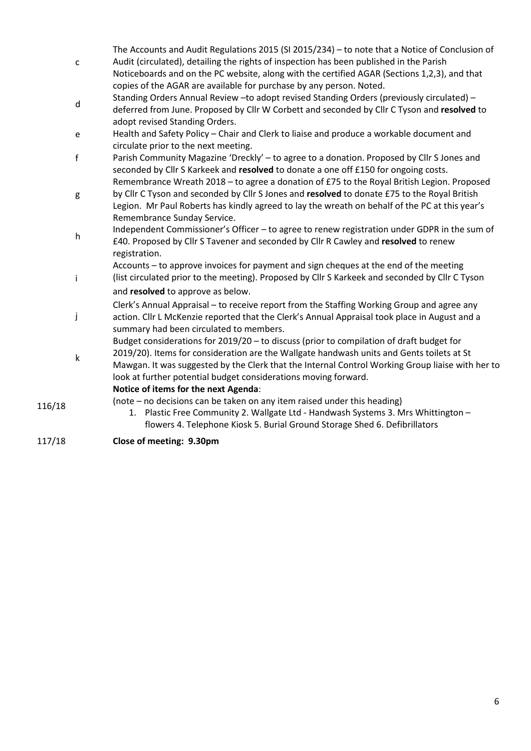|        | $\mathsf{C}$ | The Accounts and Audit Regulations 2015 (SI 2015/234) - to note that a Notice of Conclusion of<br>Audit (circulated), detailing the rights of inspection has been published in the Parish<br>Noticeboards and on the PC website, along with the certified AGAR (Sections 1,2,3), and that          |
|--------|--------------|----------------------------------------------------------------------------------------------------------------------------------------------------------------------------------------------------------------------------------------------------------------------------------------------------|
|        | d            | copies of the AGAR are available for purchase by any person. Noted.<br>Standing Orders Annual Review - to adopt revised Standing Orders (previously circulated) -<br>deferred from June. Proposed by Cllr W Corbett and seconded by Cllr C Tyson and resolved to<br>adopt revised Standing Orders. |
|        | e            | Health and Safety Policy - Chair and Clerk to liaise and produce a workable document and                                                                                                                                                                                                           |
|        |              | circulate prior to the next meeting.                                                                                                                                                                                                                                                               |
|        | $\mathsf f$  | Parish Community Magazine 'Dreckly' - to agree to a donation. Proposed by Cllr S Jones and<br>seconded by Cllr S Karkeek and resolved to donate a one off £150 for ongoing costs.                                                                                                                  |
|        |              | Remembrance Wreath 2018 - to agree a donation of £75 to the Royal British Legion. Proposed                                                                                                                                                                                                         |
|        | g            | by Cllr C Tyson and seconded by Cllr S Jones and resolved to donate £75 to the Royal British                                                                                                                                                                                                       |
|        |              | Legion. Mr Paul Roberts has kindly agreed to lay the wreath on behalf of the PC at this year's                                                                                                                                                                                                     |
|        |              | Remembrance Sunday Service.                                                                                                                                                                                                                                                                        |
|        | h            | Independent Commissioner's Officer - to agree to renew registration under GDPR in the sum of                                                                                                                                                                                                       |
|        |              | £40. Proposed by Cllr S Tavener and seconded by Cllr R Cawley and resolved to renew                                                                                                                                                                                                                |
|        |              | registration.                                                                                                                                                                                                                                                                                      |
|        |              | Accounts - to approve invoices for payment and sign cheques at the end of the meeting                                                                                                                                                                                                              |
|        | i            | (list circulated prior to the meeting). Proposed by Cllr S Karkeek and seconded by Cllr C Tyson                                                                                                                                                                                                    |
|        |              | and resolved to approve as below.                                                                                                                                                                                                                                                                  |
|        |              | Clerk's Annual Appraisal – to receive report from the Staffing Working Group and agree any                                                                                                                                                                                                         |
|        | j            | action. Cllr L McKenzie reported that the Clerk's Annual Appraisal took place in August and a                                                                                                                                                                                                      |
|        |              | summary had been circulated to members.<br>Budget considerations for 2019/20 - to discuss (prior to compilation of draft budget for                                                                                                                                                                |
|        |              | 2019/20). Items for consideration are the Wallgate handwash units and Gents toilets at St                                                                                                                                                                                                          |
|        | $\sf k$      | Mawgan. It was suggested by the Clerk that the Internal Control Working Group liaise with her to                                                                                                                                                                                                   |
|        |              | look at further potential budget considerations moving forward.                                                                                                                                                                                                                                    |
|        |              | Notice of items for the next Agenda:                                                                                                                                                                                                                                                               |
| 116/18 |              | (note – no decisions can be taken on any item raised under this heading)                                                                                                                                                                                                                           |
|        |              | 1. Plastic Free Community 2. Wallgate Ltd - Handwash Systems 3. Mrs Whittington -                                                                                                                                                                                                                  |
|        |              | flowers 4. Telephone Kiosk 5. Burial Ground Storage Shed 6. Defibrillators                                                                                                                                                                                                                         |

117/18 **Close of meeting: 9.30pm**